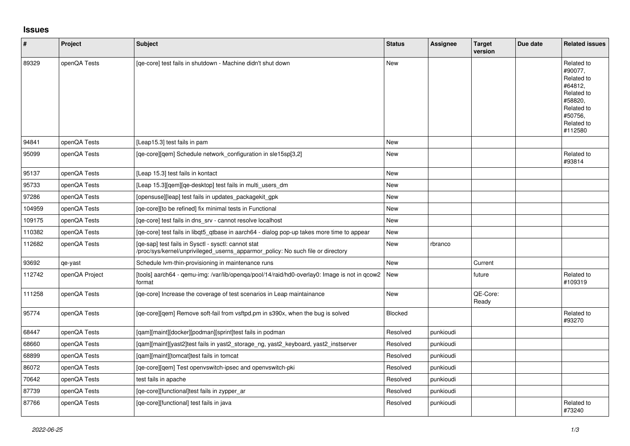## **Issues**

| #      | Project        | <b>Subject</b>                                                                                                                         | <b>Status</b>  | Assignee  | <b>Target</b><br>version | Due date | <b>Related issues</b>                                                                                                     |
|--------|----------------|----------------------------------------------------------------------------------------------------------------------------------------|----------------|-----------|--------------------------|----------|---------------------------------------------------------------------------------------------------------------------------|
| 89329  | openQA Tests   | [qe-core] test fails in shutdown - Machine didn't shut down                                                                            | <b>New</b>     |           |                          |          | Related to<br>#90077,<br>Related to<br>#64812,<br>Related to<br>#58820,<br>Related to<br>#50756,<br>Related to<br>#112580 |
| 94841  | openQA Tests   | [Leap15.3] test fails in pam                                                                                                           | <b>New</b>     |           |                          |          |                                                                                                                           |
| 95099  | openQA Tests   | [ge-core][gem] Schedule network configuration in sle15sp[3,2]                                                                          | <b>New</b>     |           |                          |          | Related to<br>#93814                                                                                                      |
| 95137  | openQA Tests   | [Leap 15.3] test fails in kontact                                                                                                      | <b>New</b>     |           |                          |          |                                                                                                                           |
| 95733  | openQA Tests   | [Leap 15.3][qem][qe-desktop] test fails in multi_users_dm                                                                              | <b>New</b>     |           |                          |          |                                                                                                                           |
| 97286  | openQA Tests   | [opensuse][leap] test fails in updates packagekit gpk                                                                                  | <b>New</b>     |           |                          |          |                                                                                                                           |
| 104959 | openQA Tests   | [qe-core][to be refined] fix minimal tests in Functional                                                                               | <b>New</b>     |           |                          |          |                                                                                                                           |
| 109175 | openQA Tests   | [ge-core] test fails in dns srv - cannot resolve localhost                                                                             | <b>New</b>     |           |                          |          |                                                                                                                           |
| 110382 | openQA Tests   | [qe-core] test fails in libqt5_qtbase in aarch64 - dialog pop-up takes more time to appear                                             | New            |           |                          |          |                                                                                                                           |
| 112682 | openQA Tests   | [ge-sap] test fails in Sysctl - sysctl: cannot stat<br>/proc/sys/kernel/unprivileged userns apparmor policy: No such file or directory | <b>New</b>     | rbranco   |                          |          |                                                                                                                           |
| 93692  | qe-yast        | Schedule Ivm-thin-provisioning in maintenance runs                                                                                     | <b>New</b>     |           | Current                  |          |                                                                                                                           |
| 112742 | openQA Project | [tools] aarch64 - qemu-img: /var/lib/openqa/pool/14/raid/hd0-overlay0: Image is not in qcow2<br>format                                 | New            |           | future                   |          | Related to<br>#109319                                                                                                     |
| 111258 | openQA Tests   | [ge-core] Increase the coverage of test scenarios in Leap maintainance                                                                 | <b>New</b>     |           | QE-Core:<br>Ready        |          |                                                                                                                           |
| 95774  | openQA Tests   | [qe-core][qem] Remove soft-fail from vsftpd.pm in s390x, when the bug is solved                                                        | <b>Blocked</b> |           |                          |          | Related to<br>#93270                                                                                                      |
| 68447  | openQA Tests   | [qam][maint][docker][podman][sprint]test fails in podman                                                                               | Resolved       | punkioudi |                          |          |                                                                                                                           |
| 68660  | openQA Tests   | [qam][maint][yast2]test fails in yast2_storage_ng, yast2_keyboard, yast2_instserver                                                    | Resolved       | punkioudi |                          |          |                                                                                                                           |
| 68899  | openQA Tests   | [qam][maint][tomcat]test fails in tomcat                                                                                               | Resolved       | punkioudi |                          |          |                                                                                                                           |
| 86072  | openQA Tests   | [ge-core][gem] Test openvswitch-ipsec and openvswitch-pki                                                                              | Resolved       | punkioudi |                          |          |                                                                                                                           |
| 70642  | openQA Tests   | test fails in apache                                                                                                                   | Resolved       | punkioudi |                          |          |                                                                                                                           |
| 87739  | openQA Tests   | [qe-core][functional]test fails in zypper_ar                                                                                           | Resolved       | punkioudi |                          |          |                                                                                                                           |
| 87766  | openQA Tests   | [qe-core][functional] test fails in java                                                                                               | Resolved       | punkioudi |                          |          | Related to<br>#73240                                                                                                      |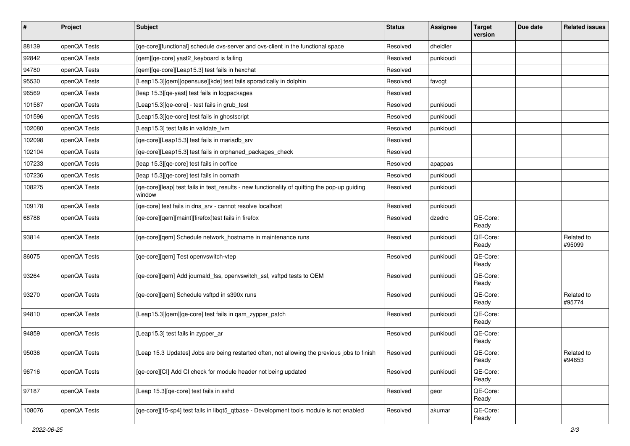| $\sharp$ | Project      | <b>Subject</b>                                                                                          | <b>Status</b> | <b>Assignee</b> | <b>Target</b><br>version | Due date | <b>Related issues</b> |
|----------|--------------|---------------------------------------------------------------------------------------------------------|---------------|-----------------|--------------------------|----------|-----------------------|
| 88139    | openQA Tests | [qe-core][functional] schedule ovs-server and ovs-client in the functional space                        | Resolved      | dheidler        |                          |          |                       |
| 92842    | openQA Tests | [qem][qe-core] yast2_keyboard is failing                                                                | Resolved      | punkioudi       |                          |          |                       |
| 94780    | openQA Tests | [qem][qe-core][Leap15.3] test fails in hexchat                                                          | Resolved      |                 |                          |          |                       |
| 95530    | openQA Tests | [Leap15.3][qem][opensuse][kde] test fails sporadically in dolphin                                       | Resolved      | favogt          |                          |          |                       |
| 96569    | openQA Tests | [leap 15.3] [qe-yast] test fails in logpackages                                                         | Resolved      |                 |                          |          |                       |
| 101587   | openQA Tests | [Leap15.3][qe-core] - test fails in grub_test                                                           | Resolved      | punkioudi       |                          |          |                       |
| 101596   | openQA Tests | [Leap15.3] [ge-core] test fails in ghostscript                                                          | Resolved      | punkioudi       |                          |          |                       |
| 102080   | openQA Tests | [Leap15.3] test fails in validate_lvm                                                                   | Resolved      | punkioudi       |                          |          |                       |
| 102098   | openQA Tests | [qe-core][Leap15.3] test fails in mariadb_srv                                                           | Resolved      |                 |                          |          |                       |
| 102104   | openQA Tests | [ge-core][Leap15.3] test fails in orphaned packages check                                               | Resolved      |                 |                          |          |                       |
| 107233   | openQA Tests | [leap 15.3] [qe-core] test fails in ooffice                                                             | Resolved      | apappas         |                          |          |                       |
| 107236   | openQA Tests | [leap 15.3] [qe-core] test fails in oomath                                                              | Resolved      | punkioudi       |                          |          |                       |
| 108275   | openQA Tests | [qe-core][leap] test fails in test_results - new functionality of quitting the pop-up guiding<br>window | Resolved      | punkioudi       |                          |          |                       |
| 109178   | openQA Tests | [ge-core] test fails in dns srv - cannot resolve localhost                                              | Resolved      | punkioudi       |                          |          |                       |
| 68788    | openQA Tests | [qe-core][qem][maint][firefox]test fails in firefox                                                     | Resolved      | dzedro          | QE-Core:<br>Ready        |          |                       |
| 93814    | openQA Tests | [qe-core][qem] Schedule network_hostname in maintenance runs                                            | Resolved      | punkioudi       | QE-Core:<br>Ready        |          | Related to<br>#95099  |
| 86075    | openQA Tests | [qe-core][qem] Test openvswitch-vtep                                                                    | Resolved      | punkioudi       | QE-Core:<br>Ready        |          |                       |
| 93264    | openQA Tests | [qe-core][qem] Add journald_fss, openvswitch_ssl, vsftpd tests to QEM                                   | Resolved      | punkioudi       | QE-Core:<br>Ready        |          |                       |
| 93270    | openQA Tests | [qe-core][qem] Schedule vsftpd in s390x runs                                                            | Resolved      | punkioudi       | QE-Core:<br>Ready        |          | Related to<br>#95774  |
| 94810    | openQA Tests | [Leap15.3][qem][qe-core] test fails in qam_zypper_patch                                                 | Resolved      | punkioudi       | QE-Core:<br>Ready        |          |                       |
| 94859    | openQA Tests | [Leap15.3] test fails in zypper_ar                                                                      | Resolved      | punkioudi       | QE-Core:<br>Ready        |          |                       |
| 95036    | openQA Tests | [Leap 15.3 Updates] Jobs are being restarted often, not allowing the previous jobs to finish            | Resolved      | punkioudi       | QE-Core:<br>Ready        |          | Related to<br>#94853  |
| 96716    | openQA Tests | [qe-core][CI] Add CI check for module header not being updated                                          | Resolved      | punkioudi       | QE-Core:<br>Ready        |          |                       |
| 97187    | openQA Tests | [Leap 15.3][qe-core] test fails in sshd                                                                 | Resolved      | geor            | QE-Core:<br>Ready        |          |                       |
| 108076   | openQA Tests | [qe-core][15-sp4] test fails in libqt5_qtbase - Development tools module is not enabled                 | Resolved      | akumar          | QE-Core:<br>Ready        |          |                       |